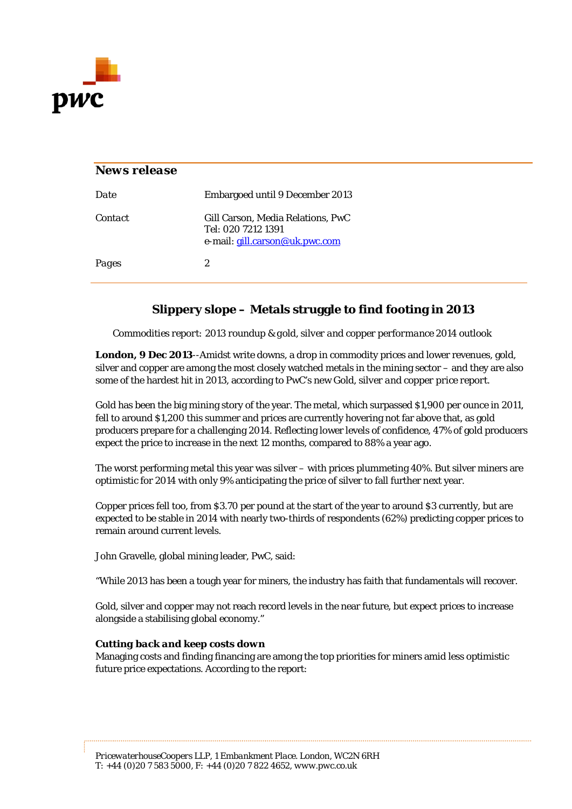

# *News release Date* Embargoed until 9 December 2013 *Contact* Gill Carson, Media Relations, PwC Tel: 020 7212 1391 e-mail: [gill.carson@uk.pwc.com](mailto:gill.carson@uk.pwc.com) *Pages* 2

## **Slippery slope – Metals struggle to find footing in 2013**

*Commodities report: 2013 roundup & gold, silver and copper performance 2014 outlook* 

**London, 9 Dec 2013**--Amidst write downs, a drop in commodity prices and lower revenues, gold, silver and copper are among the most closely watched metals in the mining sector – and they are also some of the hardest hit in 2013, according to PwC's new *Gold, silver and copper price report*.

Gold has been the big mining story of the year. The metal, which surpassed \$1,900 per ounce in 2011, fell to around \$1,200 this summer and prices are currently hovering not far above that, as gold producers prepare for a challenging 2014. Reflecting lower levels of confidence, 47% of gold producers expect the price to increase in the next 12 months, compared to 88% a year ago.

The worst performing metal this year was silver – with prices plummeting 40%. But silver miners are optimistic for 2014 with only 9% anticipating the price of silver to fall further next year.

Copper prices fell too, from \$3.70 per pound at the start of the year to around \$3 currently, but are expected to be stable in 2014 with nearly two-thirds of respondents (62%) predicting copper prices to remain around current levels.

John Gravelle, global mining leader, PwC, said:

"While 2013 has been a tough year for miners, the industry has faith that fundamentals will recover.

Gold, silver and copper may not reach record levels in the near future, but expect prices to increase alongside a stabilising global economy."

### *Cutting back and keep costs down*

Managing costs and finding financing are among the top priorities for miners amid less optimistic future price expectations. According to the report: